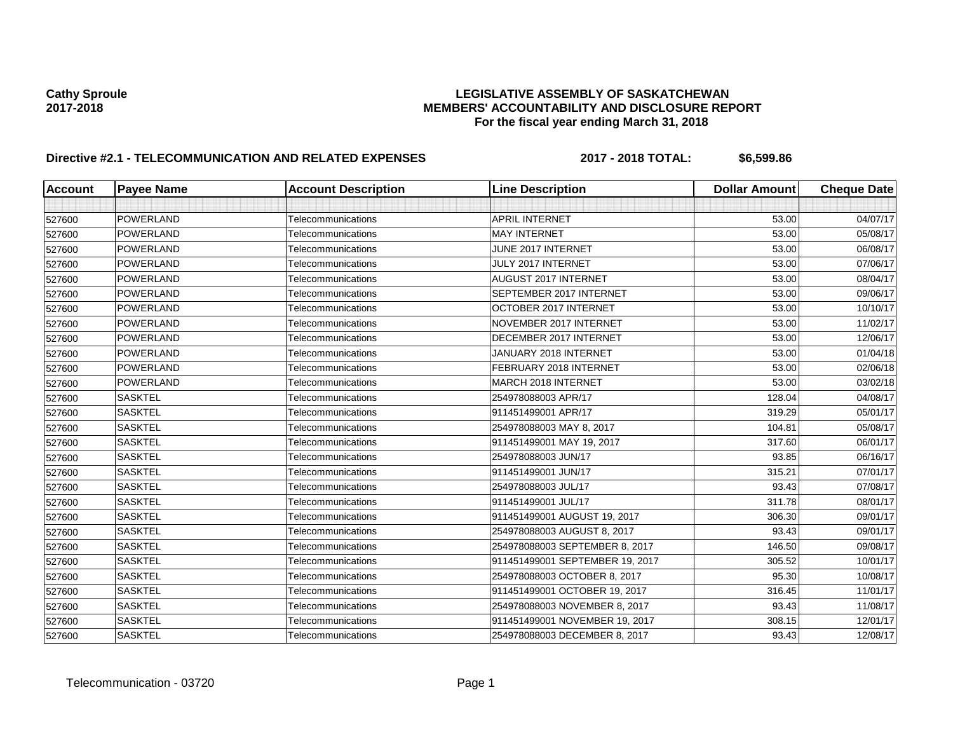# Cathy Sproule<br>LEGISLATIVE ASSEMBLY OF SASKATCHEWAN<br>MEMBERS' ACCOUNTABILITY AND DISCLOSURE REF **2017-2018 MEMBERS' ACCOUNTABILITY AND DISCLOSURE REPORT For the fiscal year ending March 31, 2018**

# **Directive #2.1 - TELECOMMUNICATION AND RELATED EXPENSES** 2017 - 2018 TOTAL: \$6,599.86

| <b>Account</b> | <b>Payee Name</b> | <b>Account Description</b> | <b>Line Description</b>         | <b>Dollar Amount</b> | <b>Cheque Date</b> |
|----------------|-------------------|----------------------------|---------------------------------|----------------------|--------------------|
|                |                   |                            |                                 |                      |                    |
| 527600         | POWERLAND         | Telecommunications         | <b>APRIL INTERNET</b>           | 53.00                | 04/07/17           |
| 527600         | POWERLAND         | Telecommunications         | <b>MAY INTERNET</b>             | 53.00                | 05/08/17           |
| 527600         | <b>POWERLAND</b>  | Telecommunications         | JUNE 2017 INTERNET              | 53.00                | 06/08/17           |
| 527600         | POWERLAND         | Telecommunications         | JULY 2017 INTERNET              | 53.00                | 07/06/17           |
| 527600         | POWERLAND         | Telecommunications         | <b>AUGUST 2017 INTERNET</b>     | 53.00                | 08/04/17           |
| 527600         | POWERLAND         | Telecommunications         | SEPTEMBER 2017 INTERNET         | 53.00                | 09/06/17           |
| 527600         | POWERLAND         | Telecommunications         | OCTOBER 2017 INTERNET           | 53.00                | 10/10/17           |
| 527600         | POWERLAND         | Telecommunications         | NOVEMBER 2017 INTERNET          | 53.00                | 11/02/17           |
| 527600         | POWERLAND         | Telecommunications         | DECEMBER 2017 INTERNET          | 53.00                | 12/06/17           |
| 527600         | POWERLAND         | Telecommunications         | JANUARY 2018 INTERNET           | 53.00                | 01/04/18           |
| 527600         | POWERLAND         | Telecommunications         | FEBRUARY 2018 INTERNET          | 53.00                | 02/06/18           |
| 527600         | POWERLAND         | Telecommunications         | <b>MARCH 2018 INTERNET</b>      | 53.00                | 03/02/18           |
| 527600         | <b>SASKTEL</b>    | Telecommunications         | 254978088003 APR/17             | 128.04               | 04/08/17           |
| 527600         | <b>SASKTEL</b>    | Telecommunications         | 911451499001 APR/17             | 319.29               | 05/01/17           |
| 527600         | <b>SASKTEL</b>    | Telecommunications         | 254978088003 MAY 8, 2017        | 104.81               | 05/08/17           |
| 527600         | <b>SASKTEL</b>    | Telecommunications         | 911451499001 MAY 19, 2017       | 317.60               | 06/01/17           |
| 527600         | <b>SASKTEL</b>    | Telecommunications         | 254978088003 JUN/17             | 93.85                | 06/16/17           |
| 527600         | <b>SASKTEL</b>    | Telecommunications         | 911451499001 JUN/17             | 315.21               | 07/01/17           |
| 527600         | <b>SASKTEL</b>    | Telecommunications         | 254978088003 JUL/17             | 93.43                | 07/08/17           |
| 527600         | <b>SASKTEL</b>    | Telecommunications         | 911451499001 JUL/17             | 311.78               | 08/01/17           |
| 527600         | <b>SASKTEL</b>    | Telecommunications         | 911451499001 AUGUST 19, 2017    | 306.30               | 09/01/17           |
| 527600         | <b>SASKTEL</b>    | Telecommunications         | 254978088003 AUGUST 8, 2017     | 93.43                | 09/01/17           |
| 527600         | <b>SASKTEL</b>    | Telecommunications         | 254978088003 SEPTEMBER 8, 2017  | 146.50               | 09/08/17           |
| 527600         | <b>SASKTEL</b>    | Telecommunications         | 911451499001 SEPTEMBER 19, 2017 | 305.52               | 10/01/17           |
| 527600         | <b>SASKTEL</b>    | Telecommunications         | 254978088003 OCTOBER 8, 2017    | 95.30                | 10/08/17           |
| 527600         | <b>SASKTEL</b>    | Telecommunications         | 911451499001 OCTOBER 19, 2017   | 316.45               | 11/01/17           |
| 527600         | <b>SASKTEL</b>    | Telecommunications         | 254978088003 NOVEMBER 8, 2017   | 93.43                | 11/08/17           |
| 527600         | <b>SASKTEL</b>    | Telecommunications         | 911451499001 NOVEMBER 19, 2017  | 308.15               | 12/01/17           |
| 527600         | <b>SASKTEL</b>    | Telecommunications         | 254978088003 DECEMBER 8, 2017   | 93.43                | 12/08/17           |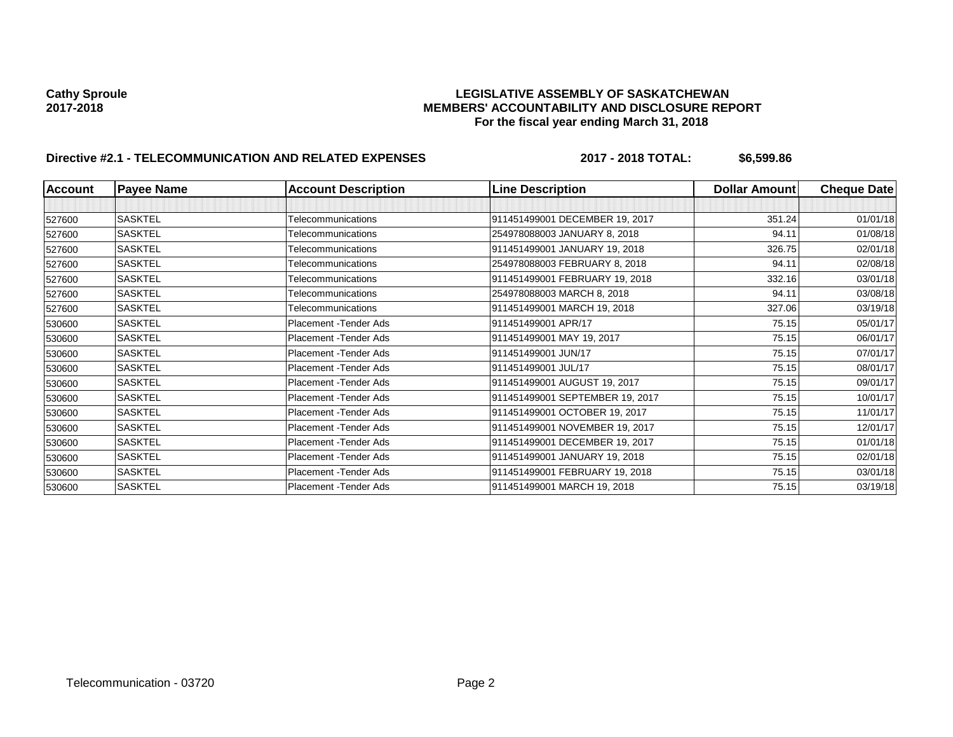# Cathy Sproule<br>LEGISLATIVE ASSEMBLY OF SASKATCHEWAN<br>MEMBERS' ACCOUNTABILITY AND DISCLOSURE REF **2017-2018 MEMBERS' ACCOUNTABILITY AND DISCLOSURE REPORT For the fiscal year ending March 31, 2018**

# **Directive #2.1 - TELECOMMUNICATION AND RELATED EXPENSES** 2017 - 2018 TOTAL: \$6,599.86

| <b>Account</b> | <b>Payee Name</b> | <b>Account Description</b> | <b>Line Description</b>         | <b>Dollar Amount</b> | <b>Cheque Date</b> |
|----------------|-------------------|----------------------------|---------------------------------|----------------------|--------------------|
|                |                   |                            |                                 |                      |                    |
| 527600         | <b>SASKTEL</b>    | Telecommunications         | 911451499001 DECEMBER 19, 2017  | 351.24               | 01/01/18           |
| 527600         | <b>SASKTEL</b>    | Telecommunications         | 254978088003 JANUARY 8, 2018    | 94.11                | 01/08/18           |
| 527600         | <b>SASKTEL</b>    | Telecommunications         | 911451499001 JANUARY 19, 2018   | 326.75               | 02/01/18           |
| 527600         | <b>SASKTEL</b>    | Telecommunications         | 254978088003 FEBRUARY 8, 2018   | 94.11                | 02/08/18           |
| 527600         | <b>SASKTEL</b>    | Telecommunications         | 911451499001 FEBRUARY 19, 2018  | 332.16               | 03/01/18           |
| 527600         | <b>SASKTEL</b>    | Telecommunications         | 254978088003 MARCH 8, 2018      | 94.11                | 03/08/18           |
| 527600         | <b>SASKTEL</b>    | Telecommunications         | 911451499001 MARCH 19, 2018     | 327.06               | 03/19/18           |
| 530600         | <b>SASKTEL</b>    | Placement - Tender Ads     | 911451499001 APR/17             | 75.15                | 05/01/17           |
| 530600         | <b>SASKTEL</b>    | Placement - Tender Ads     | 911451499001 MAY 19, 2017       | 75.15                | 06/01/17           |
| 530600         | <b>SASKTEL</b>    | Placement - Tender Ads     | 911451499001 JUN/17             | 75.15                | 07/01/17           |
| 530600         | SASKTEL           | Placement - Tender Ads     | 911451499001 JUL/17             | 75.15                | 08/01/17           |
| 530600         | <b>SASKTEL</b>    | Placement - Tender Ads     | 911451499001 AUGUST 19, 2017    | 75.15                | 09/01/17           |
| 530600         | <b>SASKTEL</b>    | Placement - Tender Ads     | 911451499001 SEPTEMBER 19, 2017 | 75.15                | 10/01/17           |
| 530600         | <b>SASKTEL</b>    | Placement - Tender Ads     | 911451499001 OCTOBER 19, 2017   | 75.15                | 11/01/17           |
| 530600         | <b>SASKTEL</b>    | Placement - Tender Ads     | 911451499001 NOVEMBER 19, 2017  | 75.15                | 12/01/17           |
| 530600         | <b>SASKTEL</b>    | Placement - Tender Ads     | 911451499001 DECEMBER 19, 2017  | 75.15                | 01/01/18           |
| 530600         | <b>SASKTEL</b>    | Placement - Tender Ads     | 911451499001 JANUARY 19, 2018   | 75.15                | 02/01/18           |
| 530600         | <b>SASKTEL</b>    | Placement - Tender Ads     | 911451499001 FEBRUARY 19, 2018  | 75.15                | 03/01/18           |
| 530600         | <b>SASKTEL</b>    | Placement - Tender Ads     | 911451499001 MARCH 19, 2018     | 75.15                | 03/19/18           |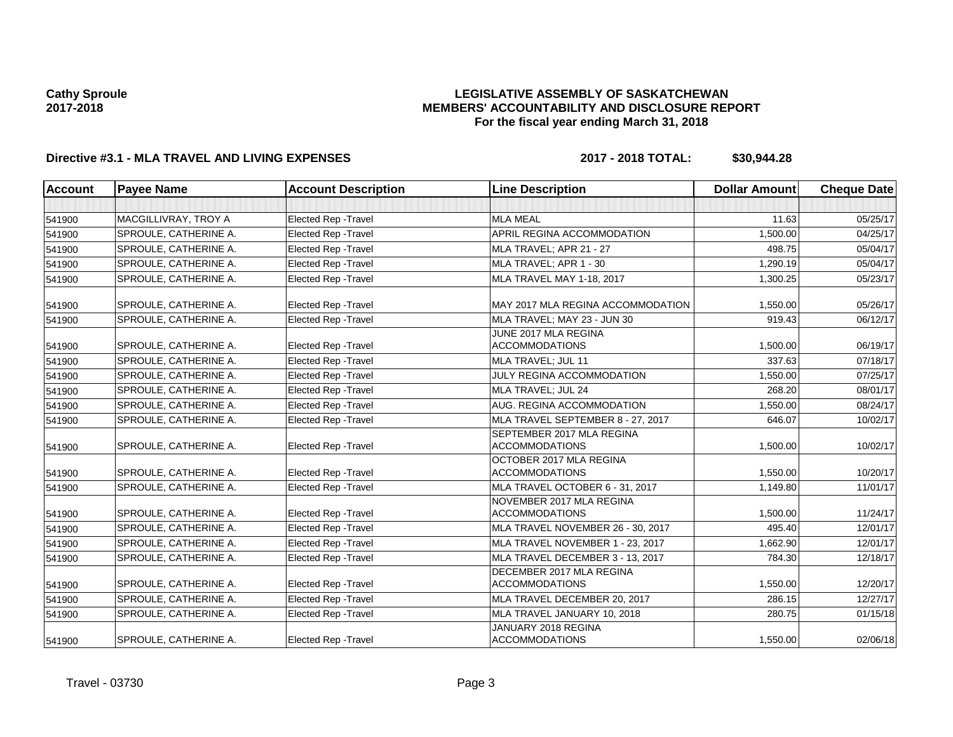## **LEGISLATIVE ASSEMBLY OF SASKATCHEWAN MEMBERS' ACCOUNTABILITY AND DISCLOSURE REPORT For the fiscal year ending March 31, 2018**

# **Directive #3.1 - MLA TRAVEL AND LIVING EXPENSES 2017 - 2018 TOTAL: \$30,944.28**

| Account | <b>Payee Name</b>     | <b>Account Description</b>  | <b>Line Description</b>                            | <b>Dollar Amount</b> | <b>Cheque Date</b> |
|---------|-----------------------|-----------------------------|----------------------------------------------------|----------------------|--------------------|
|         |                       |                             |                                                    |                      |                    |
| 541900  | MACGILLIVRAY, TROY A  | <b>Elected Rep - Travel</b> | <b>MLA MEAL</b>                                    | 11.63                | 05/25/17           |
| 541900  | SPROULE, CATHERINE A. | <b>Elected Rep - Travel</b> | APRIL REGINA ACCOMMODATION                         | 1,500.00             | 04/25/17           |
| 541900  | SPROULE, CATHERINE A. | <b>Elected Rep - Travel</b> | MLA TRAVEL: APR 21 - 27                            | 498.75               | 05/04/17           |
| 541900  | SPROULE, CATHERINE A. | <b>Elected Rep - Travel</b> | MLA TRAVEL; APR 1 - 30                             | 1,290.19             | 05/04/17           |
| 541900  | SPROULE, CATHERINE A. | <b>Elected Rep - Travel</b> | MLA TRAVEL MAY 1-18, 2017                          | 1,300.25             | 05/23/17           |
| 541900  | SPROULE, CATHERINE A. | <b>Elected Rep - Travel</b> | MAY 2017 MLA REGINA ACCOMMODATION                  | 1,550.00             | 05/26/17           |
| 541900  | SPROULE, CATHERINE A. | <b>Elected Rep - Travel</b> | MLA TRAVEL: MAY 23 - JUN 30                        | 919.43               | 06/12/17           |
| 541900  | SPROULE, CATHERINE A. | <b>Elected Rep - Travel</b> | JUNE 2017 MLA REGINA<br><b>ACCOMMODATIONS</b>      | 1,500.00             | 06/19/17           |
| 541900  | SPROULE, CATHERINE A. | <b>Elected Rep - Travel</b> | MLA TRAVEL; JUL 11                                 | 337.63               | 07/18/17           |
| 541900  | SPROULE, CATHERINE A. | <b>Elected Rep - Travel</b> | <b>JULY REGINA ACCOMMODATION</b>                   | 1.550.00             | 07/25/17           |
| 541900  | SPROULE, CATHERINE A. | <b>Elected Rep - Travel</b> | MLA TRAVEL; JUL 24                                 | 268.20               | 08/01/17           |
| 541900  | SPROULE, CATHERINE A. | <b>Elected Rep - Travel</b> | AUG. REGINA ACCOMMODATION                          | 1,550.00             | 08/24/17           |
| 541900  | SPROULE, CATHERINE A. | Elected Rep - Travel        | MLA TRAVEL SEPTEMBER 8 - 27, 2017                  | 646.07               | 10/02/17           |
| 541900  | SPROULE, CATHERINE A. | <b>Elected Rep - Travel</b> | SEPTEMBER 2017 MLA REGINA<br><b>ACCOMMODATIONS</b> | 1,500.00             | 10/02/17           |
| 541900  | SPROULE, CATHERINE A. | <b>Elected Rep - Travel</b> | OCTOBER 2017 MLA REGINA<br><b>ACCOMMODATIONS</b>   | 1,550.00             | 10/20/17           |
| 541900  | SPROULE, CATHERINE A. | <b>Elected Rep - Travel</b> | MLA TRAVEL OCTOBER 6 - 31, 2017                    | 1,149.80             | 11/01/17           |
| 541900  | SPROULE, CATHERINE A. | <b>Elected Rep - Travel</b> | NOVEMBER 2017 MLA REGINA<br><b>ACCOMMODATIONS</b>  | 1.500.00             | 11/24/17           |
| 541900  | SPROULE, CATHERINE A. | <b>Elected Rep - Travel</b> | MLA TRAVEL NOVEMBER 26 - 30, 2017                  | 495.40               | 12/01/17           |
| 541900  | SPROULE, CATHERINE A. | <b>Elected Rep - Travel</b> | MLA TRAVEL NOVEMBER 1 - 23, 2017                   | 1.662.90             | 12/01/17           |
| 541900  | SPROULE, CATHERINE A. | <b>Elected Rep - Travel</b> | MLA TRAVEL DECEMBER 3 - 13, 2017                   | 784.30               | 12/18/17           |
| 541900  | SPROULE, CATHERINE A. | <b>Elected Rep - Travel</b> | DECEMBER 2017 MLA REGINA<br><b>ACCOMMODATIONS</b>  | 1,550.00             | 12/20/17           |
| 541900  | SPROULE, CATHERINE A. | <b>Elected Rep - Travel</b> | MLA TRAVEL DECEMBER 20, 2017                       | 286.15               | 12/27/17           |
| 541900  | SPROULE, CATHERINE A. | <b>Elected Rep - Travel</b> | MLA TRAVEL JANUARY 10, 2018                        | 280.75               | 01/15/18           |
| 541900  | SPROULE, CATHERINE A. | Elected Rep - Travel        | JANUARY 2018 REGINA<br><b>ACCOMMODATIONS</b>       | 1,550.00             | 02/06/18           |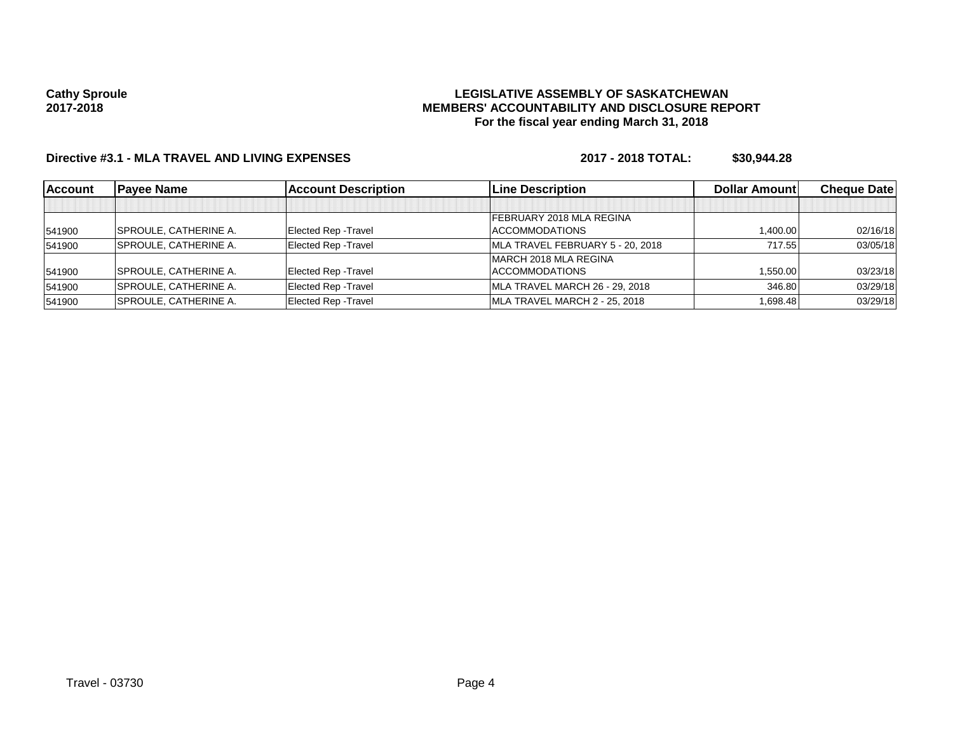## **LEGISLATIVE ASSEMBLY OF SASKATCHEWAN MEMBERS' ACCOUNTABILITY AND DISCLOSURE REPORT For the fiscal year ending March 31, 2018**

# **Directive #3.1 - MLA TRAVEL AND LIVING EXPENSES 2017 - 2018 TOTAL: \$30,944.28**

| <b>Account</b> | <b>Pavee Name</b>             | <b>Account Description</b> | <b>Line Description</b>          | <b>Dollar Amountl</b> | <b>Cheque Datel</b> |
|----------------|-------------------------------|----------------------------|----------------------------------|-----------------------|---------------------|
|                |                               |                            |                                  |                       |                     |
|                |                               |                            | FEBRUARY 2018 MLA REGINA         |                       |                     |
| 541900         | <b>SPROULE, CATHERINE A.</b>  | Elected Rep - Travel       | <b>ACCOMMODATIONS</b>            | 1.400.00              | 02/16/18            |
| 541900         | SPROULE, CATHERINE A.         | Elected Rep - Travel       | MLA TRAVEL FEBRUARY 5 - 20, 2018 | 717.55                | 03/05/18            |
|                |                               |                            | MARCH 2018 MLA REGINA            |                       |                     |
| 541900         | <b>SPROULE, CATHERINE A.</b>  | Elected Rep - Travel       | <b>ACCOMMODATIONS</b>            | 1.550.00              | 03/23/18            |
| 541900         | <b>SPROULE, CATHERINE A.</b>  | Elected Rep - Travel       | MLA TRAVEL MARCH 26 - 29, 2018   | 346.80                | 03/29/18            |
| 541900         | <b>ISPROULE, CATHERINE A.</b> | Elected Rep - Travel       | MLA TRAVEL MARCH 2 - 25, 2018    | 1.698.48              | 03/29/18            |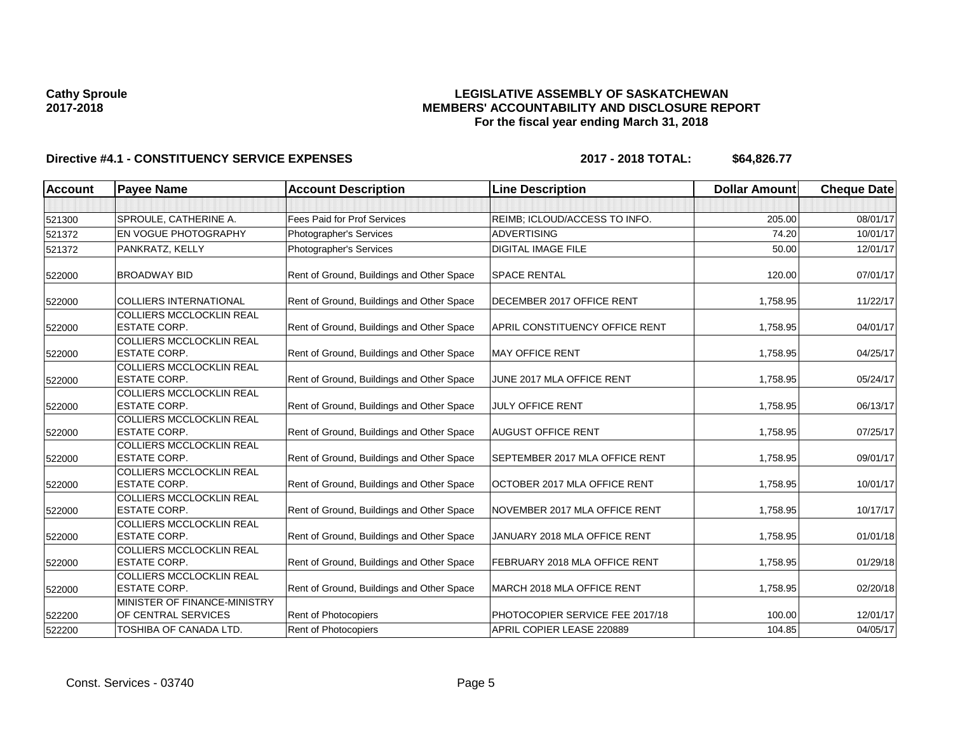## **LEGISLATIVE ASSEMBLY OF SASKATCHEWAN MEMBERS' ACCOUNTABILITY AND DISCLOSURE REPORT For the fiscal year ending March 31, 2018**

| <b>Account</b> | <b>Payee Name</b>                                      | <b>Account Description</b>                | <b>Line Description</b>         | <b>Dollar Amount</b> | <b>Cheque Date</b> |
|----------------|--------------------------------------------------------|-------------------------------------------|---------------------------------|----------------------|--------------------|
|                |                                                        |                                           |                                 |                      |                    |
| 521300         | SPROULE, CATHERINE A.                                  | Fees Paid for Prof Services               | REIMB; ICLOUD/ACCESS TO INFO.   | 205.00               | 08/01/17           |
| 521372         | EN VOGUE PHOTOGRAPHY                                   | Photographer's Services                   | <b>ADVERTISING</b>              | 74.20                | 10/01/17           |
| 521372         | PANKRATZ, KELLY                                        | Photographer's Services                   | <b>DIGITAL IMAGE FILE</b>       | 50.00                | 12/01/17           |
| 522000         | <b>BROADWAY BID</b>                                    | Rent of Ground, Buildings and Other Space | <b>SPACE RENTAL</b>             | 120.00               | 07/01/17           |
| 522000         | <b>COLLIERS INTERNATIONAL</b>                          | Rent of Ground, Buildings and Other Space | DECEMBER 2017 OFFICE RENT       | 1,758.95             | 11/22/17           |
| 522000         | <b>COLLIERS MCCLOCKLIN REAL</b><br><b>ESTATE CORP.</b> | Rent of Ground, Buildings and Other Space | APRIL CONSTITUENCY OFFICE RENT  | 1,758.95             | 04/01/17           |
| 522000         | <b>COLLIERS MCCLOCKLIN REAL</b><br><b>ESTATE CORP.</b> | Rent of Ground, Buildings and Other Space | <b>MAY OFFICE RENT</b>          | 1,758.95             | 04/25/17           |
| 522000         | <b>COLLIERS MCCLOCKLIN REAL</b><br><b>ESTATE CORP.</b> | Rent of Ground, Buildings and Other Space | JUNE 2017 MLA OFFICE RENT       | 1,758.95             | 05/24/17           |
| 522000         | <b>COLLIERS MCCLOCKLIN REAL</b><br><b>ESTATE CORP.</b> | Rent of Ground, Buildings and Other Space | <b>JULY OFFICE RENT</b>         | 1,758.95             | 06/13/17           |
| 522000         | <b>COLLIERS MCCLOCKLIN REAL</b><br><b>ESTATE CORP.</b> | Rent of Ground, Buildings and Other Space | <b>AUGUST OFFICE RENT</b>       | 1,758.95             | 07/25/17           |
| 522000         | <b>COLLIERS MCCLOCKLIN REAL</b><br><b>ESTATE CORP.</b> | Rent of Ground, Buildings and Other Space | SEPTEMBER 2017 MLA OFFICE RENT  | 1,758.95             | 09/01/17           |
| 522000         | <b>COLLIERS MCCLOCKLIN REAL</b><br><b>ESTATE CORP.</b> | Rent of Ground, Buildings and Other Space | OCTOBER 2017 MLA OFFICE RENT    | 1,758.95             | 10/01/17           |
| 522000         | <b>COLLIERS MCCLOCKLIN REAL</b><br><b>ESTATE CORP.</b> | Rent of Ground, Buildings and Other Space | NOVEMBER 2017 MLA OFFICE RENT   | 1,758.95             | 10/17/17           |
| 522000         | <b>COLLIERS MCCLOCKLIN REAL</b><br><b>ESTATE CORP.</b> | Rent of Ground, Buildings and Other Space | JANUARY 2018 MLA OFFICE RENT    | 1.758.95             | 01/01/18           |
| 522000         | <b>COLLIERS MCCLOCKLIN REAL</b><br><b>ESTATE CORP.</b> | Rent of Ground, Buildings and Other Space | FEBRUARY 2018 MLA OFFICE RENT   | 1,758.95             | 01/29/18           |
| 522000         | COLLIERS MCCLOCKLIN REAL<br><b>ESTATE CORP.</b>        | Rent of Ground, Buildings and Other Space | MARCH 2018 MLA OFFICE RENT      | 1,758.95             | 02/20/18           |
| 522200         | MINISTER OF FINANCE-MINISTRY<br>OF CENTRAL SERVICES    | Rent of Photocopiers                      | PHOTOCOPIER SERVICE FEE 2017/18 | 100.00               | 12/01/17           |
| 522200         | <b>TOSHIBA OF CANADA LTD.</b>                          | Rent of Photocopiers                      | APRIL COPIER LEASE 220889       | 104.85               | 04/05/17           |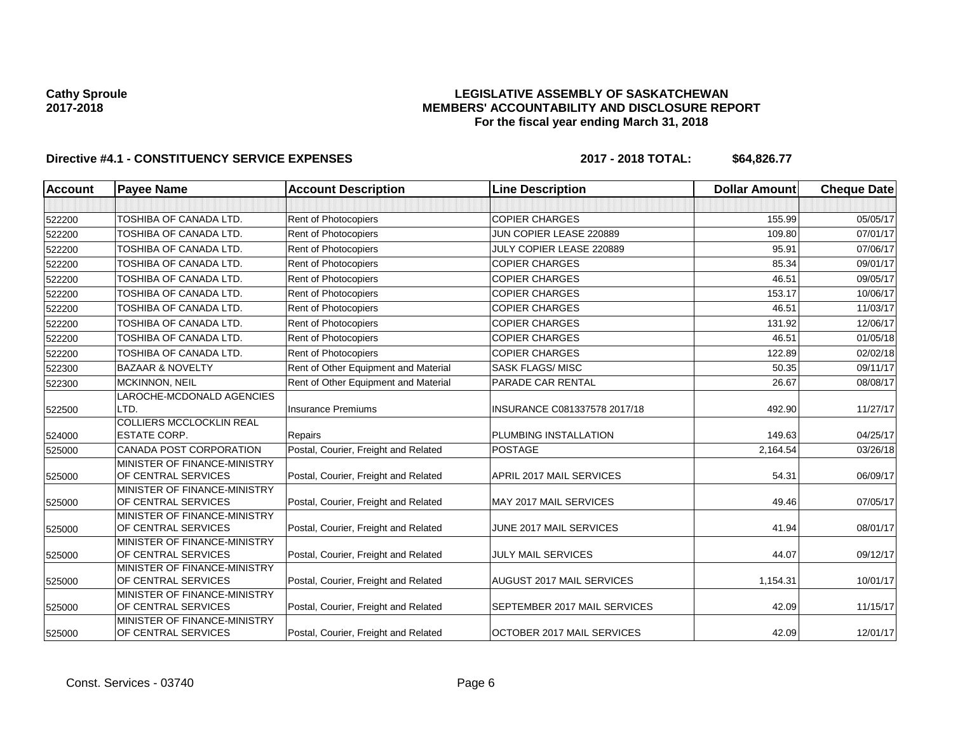## **LEGISLATIVE ASSEMBLY OF SASKATCHEWAN MEMBERS' ACCOUNTABILITY AND DISCLOSURE REPORT For the fiscal year ending March 31, 2018**

| <b>Account</b> | <b>Payee Name</b>                                   | <b>Account Description</b>           | <b>Line Description</b>      | <b>Dollar Amount</b> | <b>Cheque Date</b> |
|----------------|-----------------------------------------------------|--------------------------------------|------------------------------|----------------------|--------------------|
|                |                                                     |                                      |                              |                      |                    |
| 522200         | TOSHIBA OF CANADA LTD.                              | Rent of Photocopiers                 | <b>COPIER CHARGES</b>        | 155.99               | 05/05/17           |
| 522200         | TOSHIBA OF CANADA LTD.                              | Rent of Photocopiers                 | JUN COPIER LEASE 220889      | 109.80               | 07/01/17           |
| 522200         | TOSHIBA OF CANADA LTD.                              | Rent of Photocopiers                 | JULY COPIER LEASE 220889     | 95.91                | 07/06/17           |
| 522200         | TOSHIBA OF CANADA LTD.                              | Rent of Photocopiers                 | <b>COPIER CHARGES</b>        | 85.34                | 09/01/17           |
| 522200         | <b>TOSHIBA OF CANADA LTD.</b>                       | Rent of Photocopiers                 | <b>COPIER CHARGES</b>        | 46.51                | 09/05/17           |
| 522200         | TOSHIBA OF CANADA LTD.                              | Rent of Photocopiers                 | <b>COPIER CHARGES</b>        | 153.17               | 10/06/17           |
| 522200         | TOSHIBA OF CANADA LTD.                              | Rent of Photocopiers                 | <b>COPIER CHARGES</b>        | 46.51                | 11/03/17           |
| 522200         | TOSHIBA OF CANADA LTD.                              | Rent of Photocopiers                 | <b>COPIER CHARGES</b>        | 131.92               | 12/06/17           |
| 522200         | TOSHIBA OF CANADA LTD.                              | Rent of Photocopiers                 | <b>COPIER CHARGES</b>        | 46.51                | 01/05/18           |
| 522200         | TOSHIBA OF CANADA LTD.                              | Rent of Photocopiers                 | <b>COPIER CHARGES</b>        | 122.89               | 02/02/18           |
| 522300         | <b>BAZAAR &amp; NOVELTY</b>                         | Rent of Other Equipment and Material | <b>SASK FLAGS/MISC</b>       | 50.35                | 09/11/17           |
| 522300         | MCKINNON, NEIL                                      | Rent of Other Equipment and Material | PARADE CAR RENTAL            | 26.67                | 08/08/17           |
| 522500         | LAROCHE-MCDONALD AGENCIES<br>LTD.                   | <b>Insurance Premiums</b>            | INSURANCE C081337578 2017/18 | 492.90               | 11/27/17           |
|                | <b>COLLIERS MCCLOCKLIN REAL</b>                     |                                      |                              |                      |                    |
| 524000         | <b>ESTATE CORP.</b>                                 | Repairs                              | PLUMBING INSTALLATION        | 149.63               | 04/25/17           |
| 525000         | <b>CANADA POST CORPORATION</b>                      | Postal, Courier, Freight and Related | <b>POSTAGE</b>               | 2,164.54             | 03/26/18           |
| 525000         | MINISTER OF FINANCE-MINISTRY<br>OF CENTRAL SERVICES | Postal, Courier, Freight and Related | APRIL 2017 MAIL SERVICES     | 54.31                | 06/09/17           |
| 525000         | MINISTER OF FINANCE-MINISTRY<br>OF CENTRAL SERVICES | Postal, Courier, Freight and Related | MAY 2017 MAIL SERVICES       | 49.46                | 07/05/17           |
| 525000         | MINISTER OF FINANCE-MINISTRY<br>OF CENTRAL SERVICES | Postal, Courier, Freight and Related | JUNE 2017 MAIL SERVICES      | 41.94                | 08/01/17           |
| 525000         | MINISTER OF FINANCE-MINISTRY<br>OF CENTRAL SERVICES | Postal, Courier, Freight and Related | <b>JULY MAIL SERVICES</b>    | 44.07                | 09/12/17           |
| 525000         | MINISTER OF FINANCE-MINISTRY<br>OF CENTRAL SERVICES | Postal, Courier, Freight and Related | AUGUST 2017 MAIL SERVICES    | 1,154.31             | 10/01/17           |
| 525000         | MINISTER OF FINANCE-MINISTRY<br>OF CENTRAL SERVICES | Postal, Courier, Freight and Related | SEPTEMBER 2017 MAIL SERVICES | 42.09                | 11/15/17           |
| 525000         | MINISTER OF FINANCE-MINISTRY<br>OF CENTRAL SERVICES | Postal, Courier, Freight and Related | OCTOBER 2017 MAIL SERVICES   | 42.09                | 12/01/17           |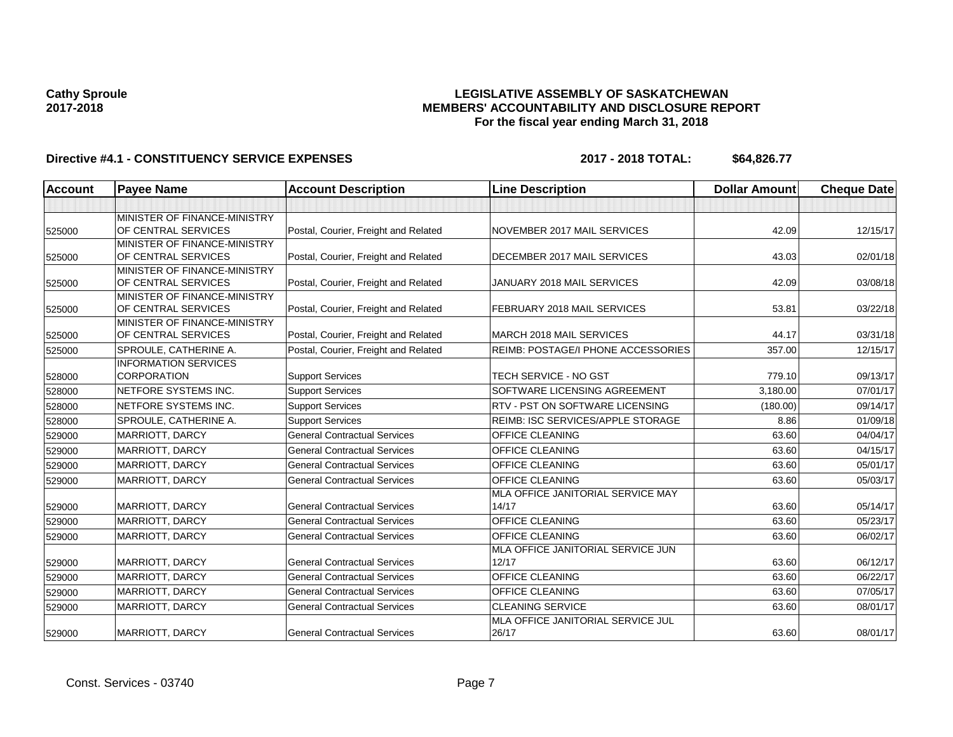## **LEGISLATIVE ASSEMBLY OF SASKATCHEWAN MEMBERS' ACCOUNTABILITY AND DISCLOSURE REPORT For the fiscal year ending March 31, 2018**

| <b>Account</b> | <b>Pavee Name</b>                                   | <b>Account Description</b>           | <b>Line Description</b>                    | <b>Dollar Amount</b> | <b>Cheque Date</b> |
|----------------|-----------------------------------------------------|--------------------------------------|--------------------------------------------|----------------------|--------------------|
|                |                                                     |                                      |                                            |                      |                    |
| 525000         | MINISTER OF FINANCE-MINISTRY<br>OF CENTRAL SERVICES | Postal, Courier, Freight and Related | NOVEMBER 2017 MAIL SERVICES                | 42.09                | 12/15/17           |
| 525000         | MINISTER OF FINANCE-MINISTRY<br>OF CENTRAL SERVICES | Postal, Courier, Freight and Related | DECEMBER 2017 MAIL SERVICES                | 43.03                | 02/01/18           |
| 525000         | MINISTER OF FINANCE-MINISTRY<br>OF CENTRAL SERVICES | Postal, Courier, Freight and Related | JANUARY 2018 MAIL SERVICES                 | 42.09                | 03/08/18           |
| 525000         | MINISTER OF FINANCE-MINISTRY<br>OF CENTRAL SERVICES | Postal, Courier, Freight and Related | FEBRUARY 2018 MAIL SERVICES                | 53.81                | 03/22/18           |
| 525000         | MINISTER OF FINANCE-MINISTRY<br>OF CENTRAL SERVICES | Postal, Courier, Freight and Related | MARCH 2018 MAIL SERVICES                   | 44.17                | 03/31/18           |
| 525000         | SPROULE, CATHERINE A.                               | Postal, Courier, Freight and Related | REIMB: POSTAGE/I PHONE ACCESSORIES         | 357.00               | 12/15/17           |
| 528000         | <b>INFORMATION SERVICES</b><br><b>CORPORATION</b>   | <b>Support Services</b>              | <b>TECH SERVICE - NO GST</b>               | 779.10               | 09/13/17           |
| 528000         | NETFORE SYSTEMS INC.                                | <b>Support Services</b>              | SOFTWARE LICENSING AGREEMENT               | 3,180.00             | 07/01/17           |
| 528000         | NETFORE SYSTEMS INC.                                | <b>Support Services</b>              | RTV - PST ON SOFTWARE LICENSING            | (180.00)             | 09/14/17           |
| 528000         | SPROULE, CATHERINE A.                               | <b>Support Services</b>              | REIMB: ISC SERVICES/APPLE STORAGE          | 8.86                 | 01/09/18           |
| 529000         | MARRIOTT, DARCY                                     | <b>General Contractual Services</b>  | <b>OFFICE CLEANING</b>                     | 63.60                | 04/04/17           |
| 529000         | <b>MARRIOTT, DARCY</b>                              | <b>General Contractual Services</b>  | <b>OFFICE CLEANING</b>                     | 63.60                | 04/15/17           |
| 529000         | <b>MARRIOTT, DARCY</b>                              | <b>General Contractual Services</b>  | OFFICE CLEANING                            | 63.60                | 05/01/17           |
| 529000         | MARRIOTT, DARCY                                     | <b>General Contractual Services</b>  | <b>OFFICE CLEANING</b>                     | 63.60                | 05/03/17           |
| 529000         | MARRIOTT, DARCY                                     | <b>General Contractual Services</b>  | MLA OFFICE JANITORIAL SERVICE MAY<br>14/17 | 63.60                | 05/14/17           |
| 529000         | <b>MARRIOTT, DARCY</b>                              | <b>General Contractual Services</b>  | <b>OFFICE CLEANING</b>                     | 63.60                | 05/23/17           |
| 529000         | <b>MARRIOTT, DARCY</b>                              | <b>General Contractual Services</b>  | OFFICE CLEANING                            | 63.60                | 06/02/17           |
| 529000         | <b>MARRIOTT, DARCY</b>                              | <b>General Contractual Services</b>  | MLA OFFICE JANITORIAL SERVICE JUN<br>12/17 | 63.60                | 06/12/17           |
| 529000         | MARRIOTT, DARCY                                     | <b>General Contractual Services</b>  | <b>OFFICE CLEANING</b>                     | 63.60                | 06/22/17           |
| 529000         | MARRIOTT, DARCY                                     | <b>General Contractual Services</b>  | <b>OFFICE CLEANING</b>                     | 63.60                | 07/05/17           |
| 529000         | MARRIOTT, DARCY                                     | <b>General Contractual Services</b>  | <b>CLEANING SERVICE</b>                    | 63.60                | 08/01/17           |
| 529000         | <b>MARRIOTT, DARCY</b>                              | <b>General Contractual Services</b>  | MLA OFFICE JANITORIAL SERVICE JUL<br>26/17 | 63.60                | 08/01/17           |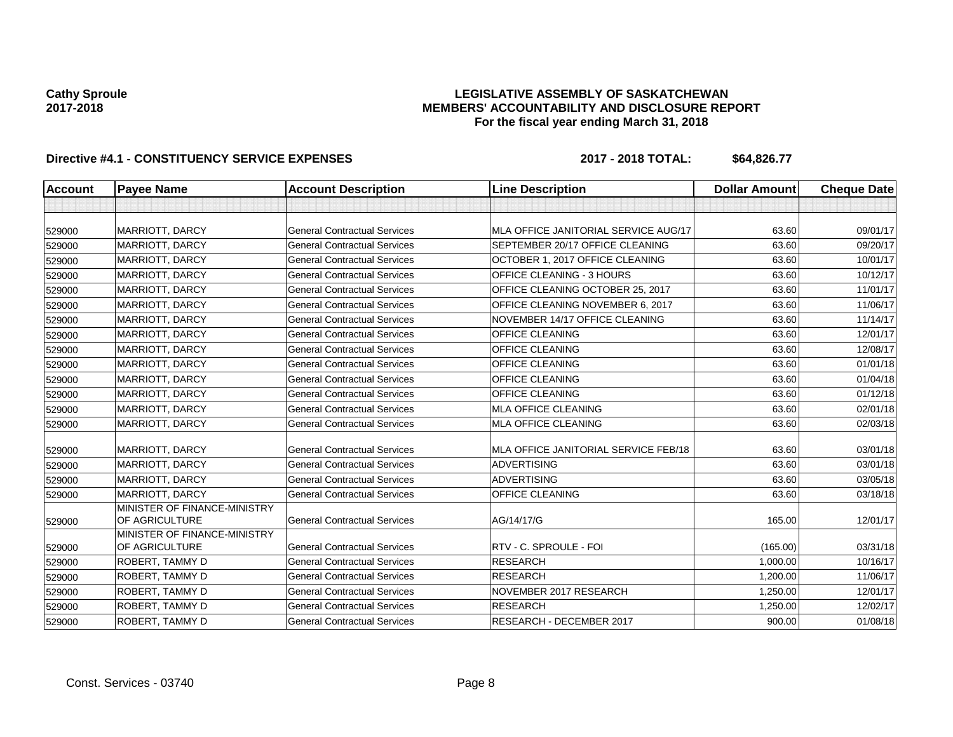## **LEGISLATIVE ASSEMBLY OF SASKATCHEWAN MEMBERS' ACCOUNTABILITY AND DISCLOSURE REPORT For the fiscal year ending March 31, 2018**

| Account | <b>Payee Name</b>                              | <b>Account Description</b>          | <b>Line Description</b>              | <b>Dollar Amount</b> | <b>Cheque Date</b> |
|---------|------------------------------------------------|-------------------------------------|--------------------------------------|----------------------|--------------------|
|         |                                                |                                     |                                      |                      |                    |
| 529000  | <b>MARRIOTT, DARCY</b>                         | <b>General Contractual Services</b> | MLA OFFICE JANITORIAL SERVICE AUG/17 | 63.60                | 09/01/17           |
| 529000  | <b>MARRIOTT, DARCY</b>                         | <b>General Contractual Services</b> | SEPTEMBER 20/17 OFFICE CLEANING      | 63.60                | 09/20/17           |
| 529000  | <b>MARRIOTT, DARCY</b>                         | <b>General Contractual Services</b> | OCTOBER 1, 2017 OFFICE CLEANING      | 63.60                | 10/01/17           |
| 529000  | MARRIOTT, DARCY                                | <b>General Contractual Services</b> | OFFICE CLEANING - 3 HOURS            | 63.60                | 10/12/17           |
| 529000  | <b>MARRIOTT, DARCY</b>                         | <b>General Contractual Services</b> | OFFICE CLEANING OCTOBER 25, 2017     | 63.60                | 11/01/17           |
| 529000  | <b>MARRIOTT, DARCY</b>                         | <b>General Contractual Services</b> | OFFICE CLEANING NOVEMBER 6, 2017     | 63.60                | 11/06/17           |
| 529000  | <b>MARRIOTT, DARCY</b>                         | <b>General Contractual Services</b> | NOVEMBER 14/17 OFFICE CLEANING       | 63.60                | 11/14/17           |
| 529000  | MARRIOTT, DARCY                                | <b>General Contractual Services</b> | OFFICE CLEANING                      | 63.60                | 12/01/17           |
| 529000  | <b>MARRIOTT, DARCY</b>                         | <b>General Contractual Services</b> | <b>OFFICE CLEANING</b>               | 63.60                | 12/08/17           |
| 529000  | <b>MARRIOTT, DARCY</b>                         | <b>General Contractual Services</b> | <b>OFFICE CLEANING</b>               | 63.60                | 01/01/18           |
| 529000  | <b>MARRIOTT, DARCY</b>                         | <b>General Contractual Services</b> | OFFICE CLEANING                      | 63.60                | 01/04/18           |
| 529000  | <b>MARRIOTT, DARCY</b>                         | <b>General Contractual Services</b> | <b>OFFICE CLEANING</b>               | 63.60                | 01/12/18           |
| 529000  | <b>MARRIOTT, DARCY</b>                         | <b>General Contractual Services</b> | <b>MLA OFFICE CLEANING</b>           | 63.60                | 02/01/18           |
| 529000  | <b>MARRIOTT, DARCY</b>                         | <b>General Contractual Services</b> | MLA OFFICE CLEANING                  | 63.60                | 02/03/18           |
| 529000  | <b>MARRIOTT, DARCY</b>                         | <b>General Contractual Services</b> | MLA OFFICE JANITORIAL SERVICE FEB/18 | 63.60                | 03/01/18           |
| 529000  | <b>MARRIOTT, DARCY</b>                         | <b>General Contractual Services</b> | <b>ADVERTISING</b>                   | 63.60                | 03/01/18           |
| 529000  | MARRIOTT, DARCY                                | <b>General Contractual Services</b> | <b>ADVERTISING</b>                   | 63.60                | 03/05/18           |
| 529000  | <b>MARRIOTT, DARCY</b>                         | <b>General Contractual Services</b> | OFFICE CLEANING                      | 63.60                | 03/18/18           |
| 529000  | MINISTER OF FINANCE-MINISTRY<br>OF AGRICULTURE | <b>General Contractual Services</b> | AG/14/17/G                           | 165.00               | 12/01/17           |
|         | MINISTER OF FINANCE-MINISTRY                   |                                     |                                      |                      |                    |
| 529000  | OF AGRICULTURE                                 | <b>General Contractual Services</b> | RTV - C. SPROULE - FOI               | (165.00)             | 03/31/18           |
| 529000  | <b>ROBERT, TAMMY D</b>                         | <b>General Contractual Services</b> | <b>RESEARCH</b>                      | 1,000.00             | 10/16/17           |
| 529000  | ROBERT, TAMMY D                                | <b>General Contractual Services</b> | <b>RESEARCH</b>                      | 1,200.00             | 11/06/17           |
| 529000  | <b>ROBERT, TAMMY D</b>                         | <b>General Contractual Services</b> | NOVEMBER 2017 RESEARCH               | 1,250.00             | 12/01/17           |
| 529000  | ROBERT, TAMMY D                                | <b>General Contractual Services</b> | <b>RESEARCH</b>                      | 1,250.00             | 12/02/17           |
| 529000  | ROBERT, TAMMY D                                | <b>General Contractual Services</b> | RESEARCH - DECEMBER 2017             | 900.00               | 01/08/18           |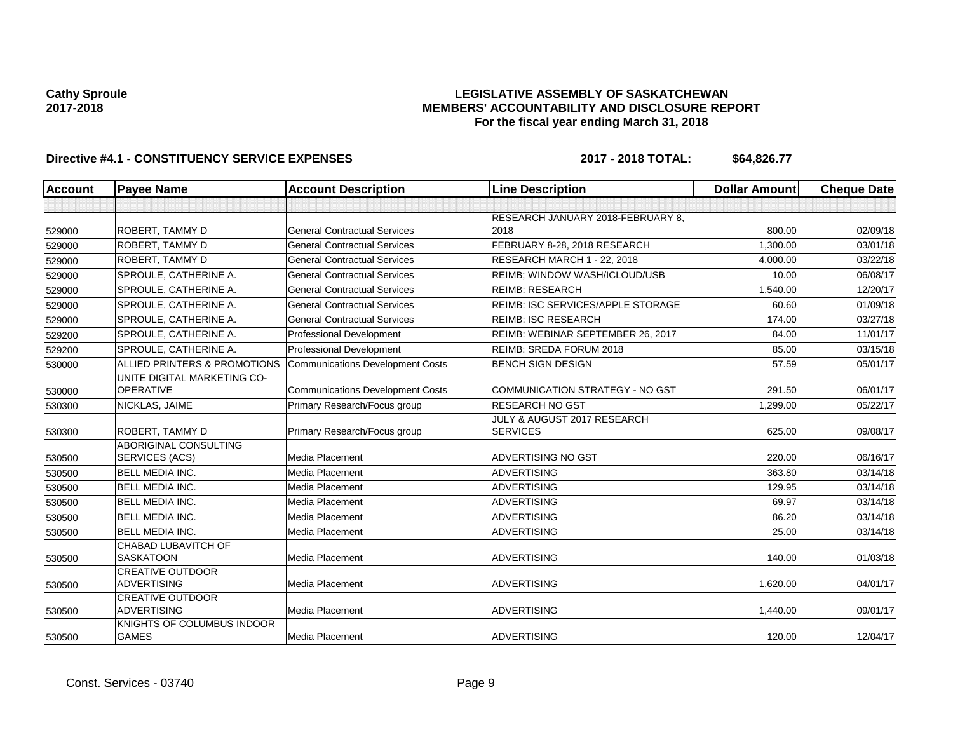## **LEGISLATIVE ASSEMBLY OF SASKATCHEWAN MEMBERS' ACCOUNTABILITY AND DISCLOSURE REPORT For the fiscal year ending March 31, 2018**

| <b>Account</b> | <b>Payee Name</b>                                     | <b>Account Description</b>              | <b>Line Description</b>                        | <b>Dollar Amount</b> | <b>Cheque Date</b> |
|----------------|-------------------------------------------------------|-----------------------------------------|------------------------------------------------|----------------------|--------------------|
|                |                                                       |                                         |                                                |                      |                    |
|                |                                                       |                                         | RESEARCH JANUARY 2018-FEBRUARY 8,              |                      |                    |
| 529000         | <b>ROBERT, TAMMY D</b>                                | <b>General Contractual Services</b>     | 2018                                           | 800.00               | 02/09/18           |
| 529000         | <b>ROBERT, TAMMY D</b>                                | <b>General Contractual Services</b>     | FEBRUARY 8-28, 2018 RESEARCH                   | 1.300.00             | 03/01/18           |
| 529000         | ROBERT, TAMMY D                                       | <b>General Contractual Services</b>     | RESEARCH MARCH 1 - 22, 2018                    | 4,000.00             | 03/22/18           |
| 529000         | SPROULE, CATHERINE A.                                 | <b>General Contractual Services</b>     | REIMB; WINDOW WASH/ICLOUD/USB                  | 10.00                | 06/08/17           |
| 529000         | SPROULE, CATHERINE A.                                 | <b>General Contractual Services</b>     | <b>REIMB: RESEARCH</b>                         | 1,540.00             | 12/20/17           |
| 529000         | SPROULE, CATHERINE A.                                 | <b>General Contractual Services</b>     | <b>REIMB: ISC SERVICES/APPLE STORAGE</b>       | 60.60                | 01/09/18           |
| 529000         | SPROULE, CATHERINE A.                                 | <b>General Contractual Services</b>     | <b>REIMB: ISC RESEARCH</b>                     | 174.00               | 03/27/18           |
| 529200         | SPROULE, CATHERINE A.                                 | <b>Professional Development</b>         | REIMB: WEBINAR SEPTEMBER 26, 2017              | 84.00                | 11/01/17           |
| 529200         | SPROULE, CATHERINE A.                                 | Professional Development                | REIMB: SREDA FORUM 2018                        | 85.00                | 03/15/18           |
| 530000         | ALLIED PRINTERS & PROMOTIONS                          | Communications Development Costs        | <b>BENCH SIGN DESIGN</b>                       | 57.59                | 05/01/17           |
| 530000         | UNITE DIGITAL MARKETING CO-<br><b>OPERATIVE</b>       | <b>Communications Development Costs</b> | COMMUNICATION STRATEGY - NO GST                | 291.50               | 06/01/17           |
| 530300         | NICKLAS, JAIME                                        | Primary Research/Focus group            | <b>RESEARCH NO GST</b>                         | 1.299.00             | 05/22/17           |
| 530300         | <b>ROBERT, TAMMY D</b>                                | Primary Research/Focus group            | JULY & AUGUST 2017 RESEARCH<br><b>SERVICES</b> | 625.00               | 09/08/17           |
| 530500         | <b>ABORIGINAL CONSULTING</b><br><b>SERVICES (ACS)</b> | <b>Media Placement</b>                  | ADVERTISING NO GST                             | 220.00               | 06/16/17           |
| 530500         | <b>BELL MEDIA INC.</b>                                | Media Placement                         | <b>ADVERTISING</b>                             | 363.80               | 03/14/18           |
| 530500         | <b>BELL MEDIA INC.</b>                                | Media Placement                         | <b>ADVERTISING</b>                             | 129.95               | 03/14/18           |
| 530500         | <b>BELL MEDIA INC.</b>                                | Media Placement                         | <b>ADVERTISING</b>                             | 69.97                | 03/14/18           |
| 530500         | <b>BELL MEDIA INC.</b>                                | <b>Media Placement</b>                  | <b>ADVERTISING</b>                             | 86.20                | 03/14/18           |
| 530500         | <b>BELL MEDIA INC.</b>                                | <b>Media Placement</b>                  | <b>ADVERTISING</b>                             | 25.00                | 03/14/18           |
| 530500         | CHABAD LUBAVITCH OF<br><b>SASKATOON</b>               | <b>Media Placement</b>                  | <b>ADVERTISING</b>                             | 140.00               | 01/03/18           |
| 530500         | <b>CREATIVE OUTDOOR</b><br><b>ADVERTISING</b>         | <b>Media Placement</b>                  | <b>ADVERTISING</b>                             | 1,620.00             | 04/01/17           |
| 530500         | <b>CREATIVE OUTDOOR</b><br><b>ADVERTISING</b>         | <b>Media Placement</b>                  | <b>ADVERTISING</b>                             | 1,440.00             | 09/01/17           |
| 530500         | KNIGHTS OF COLUMBUS INDOOR<br><b>GAMES</b>            | Media Placement                         | <b>ADVERTISING</b>                             | 120.00               | 12/04/17           |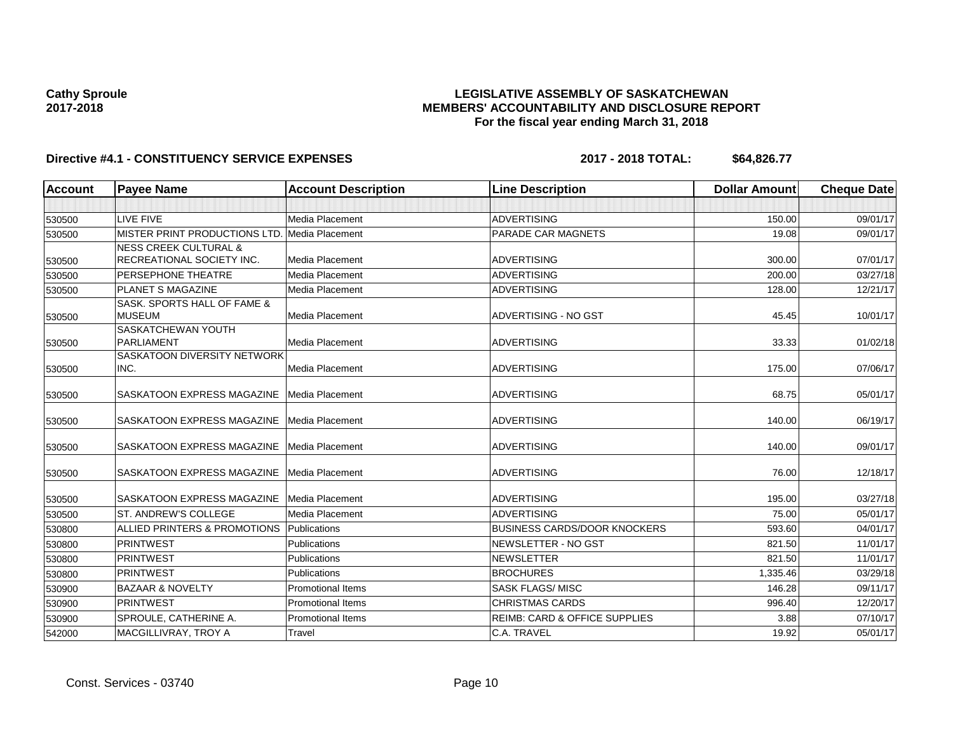## **LEGISLATIVE ASSEMBLY OF SASKATCHEWAN MEMBERS' ACCOUNTABILITY AND DISCLOSURE REPORT For the fiscal year ending March 31, 2018**

| <b>Account</b> | <b>Payee Name</b>                             | <b>Account Description</b> | <b>Line Description</b>                  | <b>Dollar Amount</b> | <b>Cheque Date</b> |
|----------------|-----------------------------------------------|----------------------------|------------------------------------------|----------------------|--------------------|
|                |                                               |                            |                                          |                      |                    |
| 530500         | LIVE FIVE                                     | <b>Media Placement</b>     | <b>ADVERTISING</b>                       | 150.00               | 09/01/17           |
| 530500         | MISTER PRINT PRODUCTIONS LTD. Media Placement |                            | PARADE CAR MAGNETS                       | 19.08                | 09/01/17           |
|                | <b>NESS CREEK CULTURAL &amp;</b>              |                            |                                          |                      |                    |
| 530500         | RECREATIONAL SOCIETY INC.                     | <b>Media Placement</b>     | ADVERTISING                              | 300.00               | 07/01/17           |
| 530500         | <b>PERSEPHONE THEATRE</b>                     | <b>Media Placement</b>     | <b>ADVERTISING</b>                       | 200.00               | 03/27/18           |
| 530500         | PLANET S MAGAZINE                             | Media Placement            | <b>ADVERTISING</b>                       | 128.00               | 12/21/17           |
|                | SASK. SPORTS HALL OF FAME &                   |                            |                                          |                      |                    |
| 530500         | <b>MUSEUM</b><br>SASKATCHEWAN YOUTH           | Media Placement            | <b>ADVERTISING - NO GST</b>              | 45.45                | 10/01/17           |
| 530500         | <b>PARLIAMENT</b>                             | <b>Media Placement</b>     | <b>ADVERTISING</b>                       | 33.33                | 01/02/18           |
|                | SASKATOON DIVERSITY NETWORK                   |                            |                                          |                      |                    |
| 530500         | INC.                                          | <b>Media Placement</b>     | <b>ADVERTISING</b>                       | 175.00               | 07/06/17           |
| 530500         | SASKATOON EXPRESS MAGAZINE                    | Media Placement            | <b>ADVERTISING</b>                       | 68.75                | 05/01/17           |
| 530500         | SASKATOON EXPRESS MAGAZINE                    | Media Placement            | <b>ADVERTISING</b>                       | 140.00               | 06/19/17           |
| 530500         | SASKATOON EXPRESS MAGAZINE                    | Media Placement            | <b>ADVERTISING</b>                       | 140.00               | 09/01/17           |
| 530500         | SASKATOON EXPRESS MAGAZINE                    | Media Placement            | <b>ADVERTISING</b>                       | 76.00                | 12/18/17           |
| 530500         | SASKATOON EXPRESS MAGAZINE                    | Media Placement            | <b>ADVERTISING</b>                       | 195.00               | 03/27/18           |
| 530500         | <b>ST. ANDREW'S COLLEGE</b>                   | Media Placement            | <b>ADVERTISING</b>                       | 75.00                | 05/01/17           |
| 530800         | ALLIED PRINTERS & PROMOTIONS                  | Publications               | <b>BUSINESS CARDS/DOOR KNOCKERS</b>      | 593.60               | 04/01/17           |
| 530800         | <b>PRINTWEST</b>                              | Publications               | NEWSLETTER - NO GST                      | 821.50               | 11/01/17           |
| 530800         | <b>PRINTWEST</b>                              | Publications               | <b>NEWSLETTER</b>                        | 821.50               | 11/01/17           |
| 530800         | <b>PRINTWEST</b>                              | Publications               | <b>BROCHURES</b>                         | 1,335.46             | 03/29/18           |
| 530900         | <b>BAZAAR &amp; NOVELTY</b>                   | <b>Promotional Items</b>   | <b>SASK FLAGS/MISC</b>                   | 146.28               | 09/11/17           |
| 530900         | PRINTWEST                                     | <b>Promotional Items</b>   | <b>CHRISTMAS CARDS</b>                   | 996.40               | 12/20/17           |
| 530900         | SPROULE, CATHERINE A.                         | <b>Promotional Items</b>   | <b>REIMB: CARD &amp; OFFICE SUPPLIES</b> | 3.88                 | 07/10/17           |
| 542000         | MACGILLIVRAY, TROY A                          | Travel                     | C.A. TRAVEL                              | 19.92                | 05/01/17           |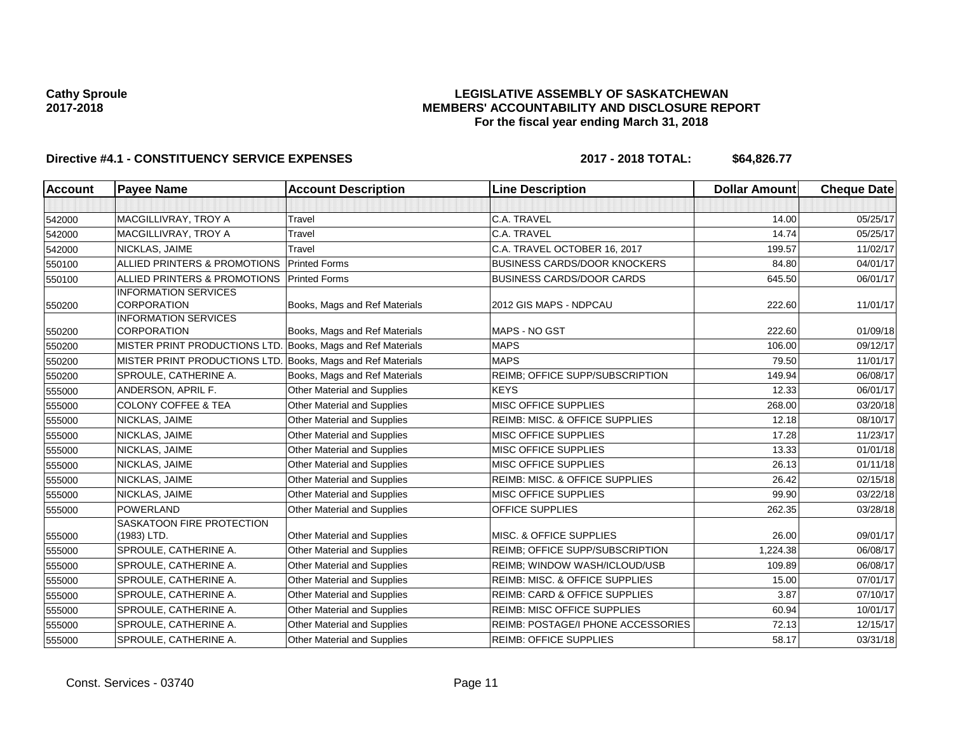## **LEGISLATIVE ASSEMBLY OF SASKATCHEWAN MEMBERS' ACCOUNTABILITY AND DISCLOSURE REPORT For the fiscal year ending March 31, 2018**

| <b>Account</b> | <b>Payee Name</b>                                           | <b>Account Description</b>         | <b>Line Description</b>                   | <b>Dollar Amount</b> | <b>Cheque Date</b> |
|----------------|-------------------------------------------------------------|------------------------------------|-------------------------------------------|----------------------|--------------------|
|                |                                                             |                                    |                                           |                      |                    |
| 542000         | MACGILLIVRAY, TROY A                                        | Travel                             | C.A. TRAVEL                               | 14.00                | 05/25/17           |
| 542000         | MACGILLIVRAY, TROY A                                        | Travel                             | C.A. TRAVEL                               | 14.74                | 05/25/17           |
| 542000         | NICKLAS, JAIME                                              | Travel                             | C.A. TRAVEL OCTOBER 16, 2017              | 199.57               | 11/02/17           |
| 550100         | ALLIED PRINTERS & PROMOTIONS                                | <b>Printed Forms</b>               | <b>BUSINESS CARDS/DOOR KNOCKERS</b>       | 84.80                | 04/01/17           |
| 550100         | ALLIED PRINTERS & PROMOTIONS                                | <b>Printed Forms</b>               | <b>BUSINESS CARDS/DOOR CARDS</b>          | 645.50               | 06/01/17           |
| 550200         | <b>INFORMATION SERVICES</b><br><b>CORPORATION</b>           | Books, Mags and Ref Materials      | 2012 GIS MAPS - NDPCAU                    | 222.60               | 11/01/17           |
|                | <b>INFORMATION SERVICES</b>                                 |                                    |                                           |                      |                    |
| 550200         | <b>CORPORATION</b>                                          | Books, Mags and Ref Materials      | MAPS - NO GST                             | 222.60               | 01/09/18           |
| 550200         | MISTER PRINT PRODUCTIONS LTD. Books, Mags and Ref Materials |                                    | <b>MAPS</b>                               | 106.00               | 09/12/17           |
| 550200         | MISTER PRINT PRODUCTIONS LTD.                               | Books, Mags and Ref Materials      | <b>MAPS</b>                               | 79.50                | 11/01/17           |
| 550200         | SPROULE, CATHERINE A.                                       | Books, Mags and Ref Materials      | REIMB; OFFICE SUPP/SUBSCRIPTION           | 149.94               | 06/08/17           |
| 555000         | ANDERSON, APRIL F.                                          | Other Material and Supplies        | <b>KEYS</b>                               | 12.33                | 06/01/17           |
| 555000         | <b>COLONY COFFEE &amp; TEA</b>                              | Other Material and Supplies        | MISC OFFICE SUPPLIES                      | 268.00               | 03/20/18           |
| 555000         | NICKLAS, JAIME                                              | Other Material and Supplies        | REIMB: MISC. & OFFICE SUPPLIES            | 12.18                | 08/10/17           |
| 555000         | NICKLAS, JAIME                                              | Other Material and Supplies        | MISC OFFICE SUPPLIES                      | 17.28                | 11/23/17           |
| 555000         | NICKLAS, JAIME                                              | <b>Other Material and Supplies</b> | MISC OFFICE SUPPLIES                      | 13.33                | 01/01/18           |
| 555000         | NICKLAS, JAIME                                              | Other Material and Supplies        | MISC OFFICE SUPPLIES                      | 26.13                | 01/11/18           |
| 555000         | NICKLAS, JAIME                                              | Other Material and Supplies        | REIMB: MISC. & OFFICE SUPPLIES            | 26.42                | 02/15/18           |
| 555000         | NICKLAS, JAIME                                              | Other Material and Supplies        | MISC OFFICE SUPPLIES                      | 99.90                | 03/22/18           |
| 555000         | <b>POWERLAND</b>                                            | Other Material and Supplies        | <b>OFFICE SUPPLIES</b>                    | 262.35               | 03/28/18           |
| 555000         | SASKATOON FIRE PROTECTION<br>(1983) LTD.                    | <b>Other Material and Supplies</b> | <b>MISC. &amp; OFFICE SUPPLIES</b>        | 26.00                | 09/01/17           |
| 555000         | SPROULE, CATHERINE A.                                       | Other Material and Supplies        | <b>REIMB: OFFICE SUPP/SUBSCRIPTION</b>    | 1,224.38             | 06/08/17           |
| 555000         | SPROULE, CATHERINE A.                                       | Other Material and Supplies        | REIMB; WINDOW WASH/ICLOUD/USB             | 109.89               | 06/08/17           |
| 555000         | SPROULE, CATHERINE A.                                       | Other Material and Supplies        | <b>REIMB: MISC. &amp; OFFICE SUPPLIES</b> | 15.00                | 07/01/17           |
| 555000         | SPROULE, CATHERINE A.                                       | Other Material and Supplies        | <b>REIMB: CARD &amp; OFFICE SUPPLIES</b>  | 3.87                 | 07/10/17           |
| 555000         | SPROULE, CATHERINE A.                                       | Other Material and Supplies        | <b>REIMB: MISC OFFICE SUPPLIES</b>        | 60.94                | 10/01/17           |
| 555000         | SPROULE, CATHERINE A.                                       | Other Material and Supplies        | REIMB: POSTAGE/I PHONE ACCESSORIES        | 72.13                | 12/15/17           |
| 555000         | SPROULE, CATHERINE A.                                       | Other Material and Supplies        | <b>REIMB: OFFICE SUPPLIES</b>             | 58.17                | 03/31/18           |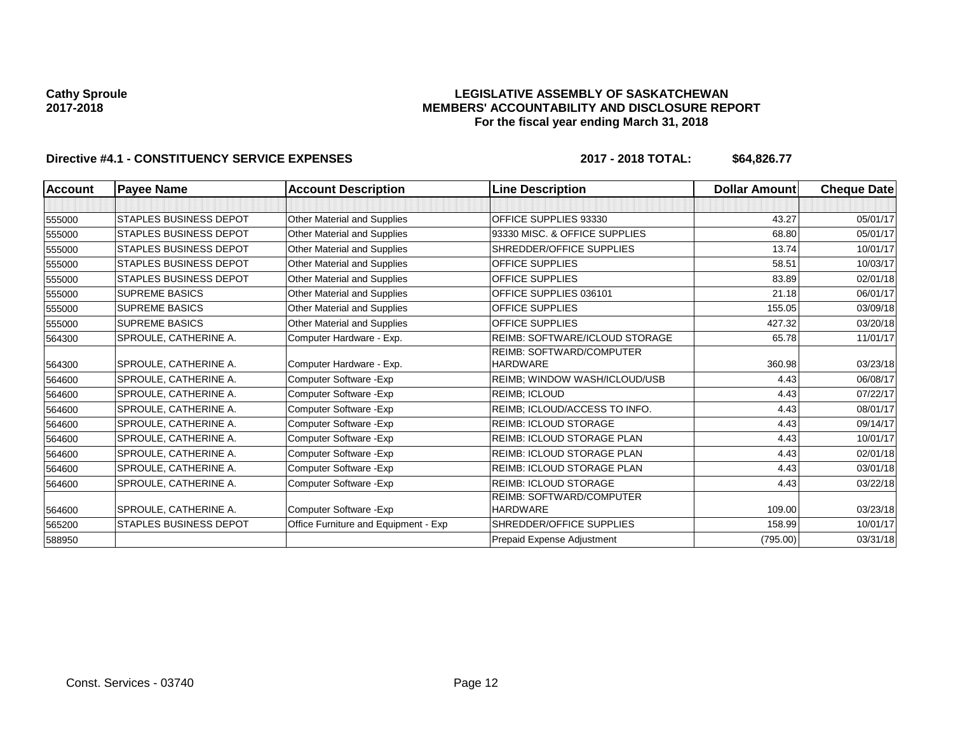## **LEGISLATIVE ASSEMBLY OF SASKATCHEWAN MEMBERS' ACCOUNTABILITY AND DISCLOSURE REPORT For the fiscal year ending March 31, 2018**

| <b>Account</b> | <b>Payee Name</b>             | <b>Account Description</b>           | <b>Line Description</b>               | <b>Dollar Amount</b> | <b>Cheque Date</b> |
|----------------|-------------------------------|--------------------------------------|---------------------------------------|----------------------|--------------------|
|                |                               |                                      |                                       |                      |                    |
| 555000         | <b>STAPLES BUSINESS DEPOT</b> | <b>Other Material and Supplies</b>   | <b>OFFICE SUPPLIES 93330</b>          | 43.27                | 05/01/17           |
| 555000         | <b>STAPLES BUSINESS DEPOT</b> | <b>Other Material and Supplies</b>   | 93330 MISC. & OFFICE SUPPLIES         | 68.80                | 05/01/17           |
| 555000         | <b>STAPLES BUSINESS DEPOT</b> | Other Material and Supplies          | SHREDDER/OFFICE SUPPLIES              | 13.74                | 10/01/17           |
| 555000         | <b>STAPLES BUSINESS DEPOT</b> | Other Material and Supplies          | <b>OFFICE SUPPLIES</b>                | 58.51                | 10/03/17           |
| 555000         | <b>STAPLES BUSINESS DEPOT</b> | Other Material and Supplies          | <b>OFFICE SUPPLIES</b>                | 83.89                | 02/01/18           |
| 555000         | <b>SUPREME BASICS</b>         | Other Material and Supplies          | OFFICE SUPPLIES 036101                | 21.18                | 06/01/17           |
| 555000         | <b>SUPREME BASICS</b>         | <b>Other Material and Supplies</b>   | <b>OFFICE SUPPLIES</b>                | 155.05               | 03/09/18           |
| 555000         | <b>SUPREME BASICS</b>         | <b>Other Material and Supplies</b>   | <b>OFFICE SUPPLIES</b>                | 427.32               | 03/20/18           |
| 564300         | SPROULE, CATHERINE A.         | Computer Hardware - Exp.             | <b>REIMB: SOFTWARE/ICLOUD STORAGE</b> | 65.78                | 11/01/17           |
|                |                               |                                      | REIMB: SOFTWARD/COMPUTER              |                      |                    |
| 564300         | SPROULE, CATHERINE A.         | Computer Hardware - Exp.             | <b>HARDWARE</b>                       | 360.98               | 03/23/18           |
| 564600         | SPROULE, CATHERINE A.         | Computer Software - Exp              | REIMB; WINDOW WASH/ICLOUD/USB         | 4.43                 | 06/08/17           |
| 564600         | SPROULE, CATHERINE A.         | Computer Software - Exp              | <b>REIMB: ICLOUD</b>                  | 4.43                 | 07/22/17           |
| 564600         | SPROULE, CATHERINE A.         | Computer Software - Exp              | REIMB: ICLOUD/ACCESS TO INFO.         | 4.43                 | 08/01/17           |
| 564600         | SPROULE, CATHERINE A.         | Computer Software - Exp              | <b>REIMB: ICLOUD STORAGE</b>          | 4.43                 | 09/14/17           |
| 564600         | SPROULE, CATHERINE A.         | Computer Software - Exp              | <b>REIMB: ICLOUD STORAGE PLAN</b>     | 4.43                 | 10/01/17           |
| 564600         | SPROULE, CATHERINE A.         | Computer Software - Exp              | <b>REIMB: ICLOUD STORAGE PLAN</b>     | 4.43                 | 02/01/18           |
| 564600         | SPROULE, CATHERINE A.         | Computer Software - Exp              | <b>REIMB: ICLOUD STORAGE PLAN</b>     | 4.43                 | 03/01/18           |
| 564600         | SPROULE, CATHERINE A.         | Computer Software - Exp              | <b>REIMB: ICLOUD STORAGE</b>          | 4.43                 | 03/22/18           |
|                |                               |                                      | <b>REIMB: SOFTWARD/COMPUTER</b>       |                      |                    |
| 564600         | SPROULE, CATHERINE A.         | Computer Software - Exp              | <b>HARDWARE</b>                       | 109.00               | 03/23/18           |
| 565200         | <b>STAPLES BUSINESS DEPOT</b> | Office Furniture and Equipment - Exp | SHREDDER/OFFICE SUPPLIES              | 158.99               | 10/01/17           |
| 588950         |                               |                                      | Prepaid Expense Adjustment            | (795.00)             | 03/31/18           |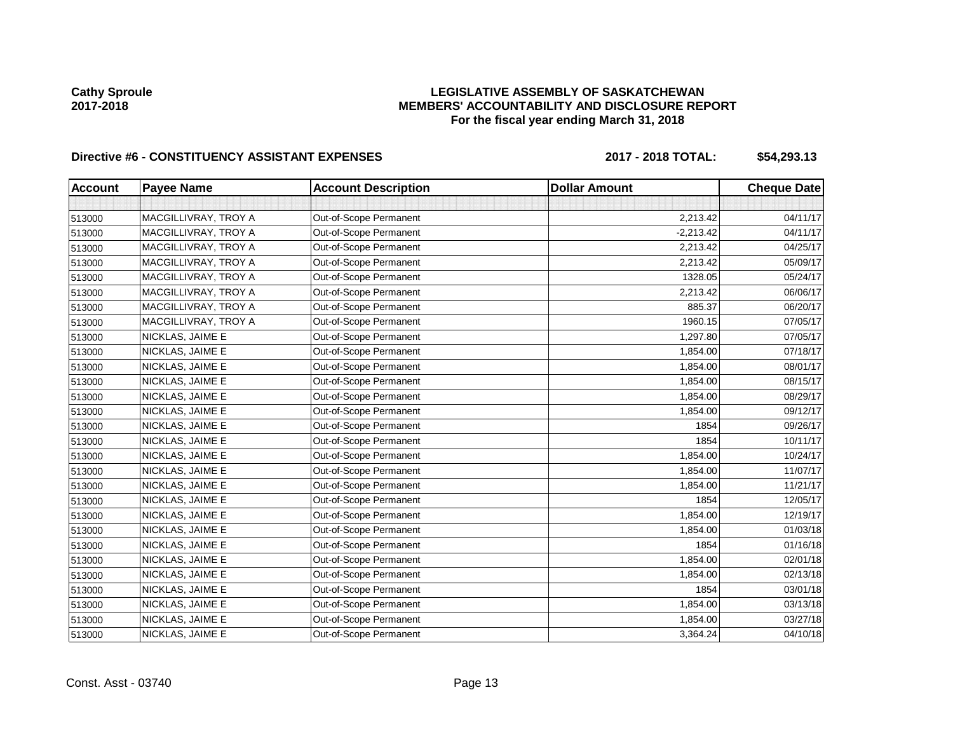## **LEGISLATIVE ASSEMBLY OF SASKATCHEWAN MEMBERS' ACCOUNTABILITY AND DISCLOSURE REPORT For the fiscal year ending March 31, 2018**

# Directive #6 - CONSTITUENCY ASSISTANT EXPENSES 2017 - 2018 TOTAL: \$54,293.13

| <b>Account</b> | <b>Payee Name</b>    | <b>Account Description</b> | <b>Dollar Amount</b> | <b>Cheque Date</b> |
|----------------|----------------------|----------------------------|----------------------|--------------------|
|                |                      |                            |                      |                    |
| 513000         | MACGILLIVRAY, TROY A | Out-of-Scope Permanent     | 2,213.42             | 04/11/17           |
| 513000         | MACGILLIVRAY, TROY A | Out-of-Scope Permanent     | $-2,213.42$          | 04/11/17           |
| 513000         | MACGILLIVRAY, TROY A | Out-of-Scope Permanent     | 2,213.42             | 04/25/17           |
| 513000         | MACGILLIVRAY, TROY A | Out-of-Scope Permanent     | 2,213.42             | 05/09/17           |
| 513000         | MACGILLIVRAY, TROY A | Out-of-Scope Permanent     | 1328.05              | 05/24/17           |
| 513000         | MACGILLIVRAY, TROY A | Out-of-Scope Permanent     | 2,213.42             | 06/06/17           |
| 513000         | MACGILLIVRAY, TROY A | Out-of-Scope Permanent     | 885.37               | 06/20/17           |
| 513000         | MACGILLIVRAY, TROY A | Out-of-Scope Permanent     | 1960.15              | 07/05/17           |
| 513000         | NICKLAS, JAIME E     | Out-of-Scope Permanent     | 1,297.80             | 07/05/17           |
| 513000         | NICKLAS, JAIME E     | Out-of-Scope Permanent     | 1,854.00             | 07/18/17           |
| 513000         | NICKLAS, JAIME E     | Out-of-Scope Permanent     | 1,854.00             | 08/01/17           |
| 513000         | NICKLAS, JAIME E     | Out-of-Scope Permanent     | 1,854.00             | 08/15/17           |
| 513000         | NICKLAS, JAIME E     | Out-of-Scope Permanent     | 1,854.00             | 08/29/17           |
| 513000         | NICKLAS, JAIME E     | Out-of-Scope Permanent     | 1,854.00             | 09/12/17           |
| 513000         | NICKLAS, JAIME E     | Out-of-Scope Permanent     | 1854                 | 09/26/17           |
| 513000         | NICKLAS, JAIME E     | Out-of-Scope Permanent     | 1854                 | 10/11/17           |
| 513000         | NICKLAS, JAIME E     | Out-of-Scope Permanent     | 1,854.00             | 10/24/17           |
| 513000         | NICKLAS, JAIME E     | Out-of-Scope Permanent     | 1,854.00             | 11/07/17           |
| 513000         | NICKLAS, JAIME E     | Out-of-Scope Permanent     | 1,854.00             | 11/21/17           |
| 513000         | NICKLAS, JAIME E     | Out-of-Scope Permanent     | 1854                 | 12/05/17           |
| 513000         | NICKLAS, JAIME E     | Out-of-Scope Permanent     | 1,854.00             | 12/19/17           |
| 513000         | NICKLAS, JAIME E     | Out-of-Scope Permanent     | 1,854.00             | 01/03/18           |
| 513000         | NICKLAS, JAIME E     | Out-of-Scope Permanent     | 1854                 | 01/16/18           |
| 513000         | NICKLAS, JAIME E     | Out-of-Scope Permanent     | 1,854.00             | 02/01/18           |
| 513000         | NICKLAS, JAIME E     | Out-of-Scope Permanent     | 1,854.00             | 02/13/18           |
| 513000         | NICKLAS, JAIME E     | Out-of-Scope Permanent     | 1854                 | 03/01/18           |
| 513000         | NICKLAS, JAIME E     | Out-of-Scope Permanent     | 1,854.00             | 03/13/18           |
| 513000         | NICKLAS, JAIME E     | Out-of-Scope Permanent     | 1,854.00             | 03/27/18           |
| 513000         | NICKLAS, JAIME E     | Out-of-Scope Permanent     | 3,364.24             | 04/10/18           |